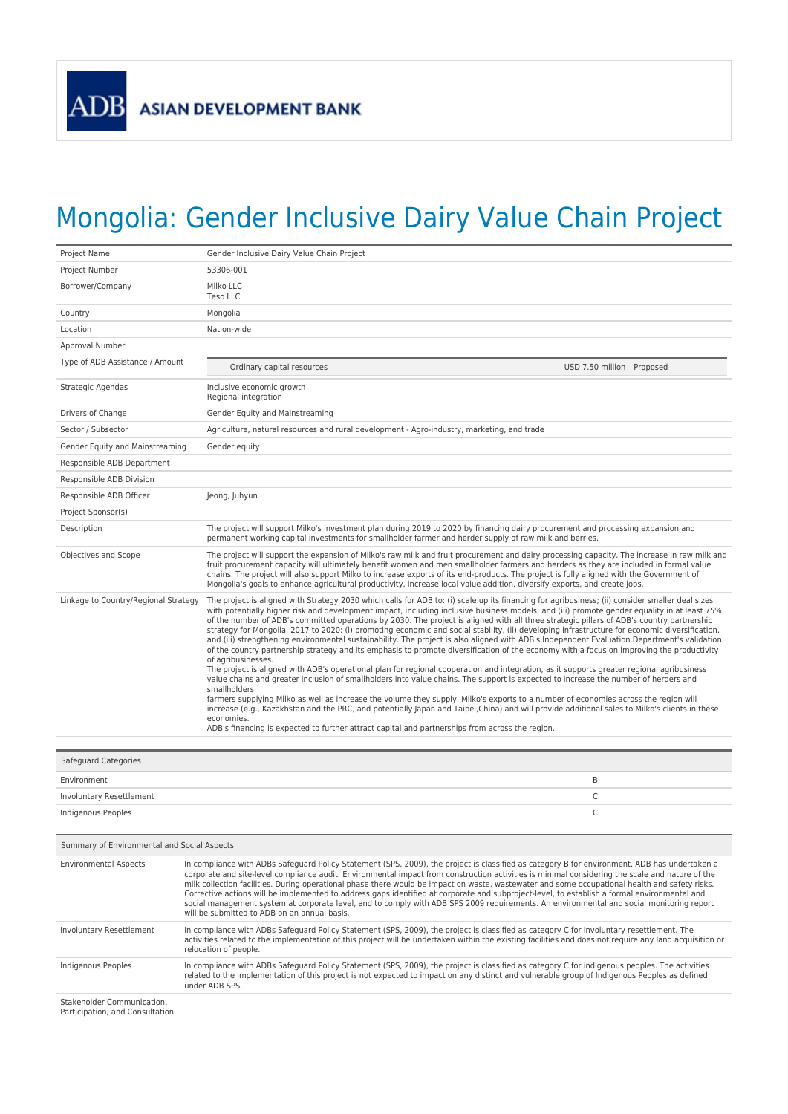## Mongolia: Gender Inclusive Dairy Value Chain Project

| Project Name                         | Gender Inclusive Dairy Value Chain Project                                                                                                                                                                                                                                                                                                                                                                                                                                                                                                                                                                                                                                                                                                                                                                                                                                                                                                                                                                                                                                                                                                                                                                                                                                                                                                                                                                                                                                                                                                                                                                                   |
|--------------------------------------|------------------------------------------------------------------------------------------------------------------------------------------------------------------------------------------------------------------------------------------------------------------------------------------------------------------------------------------------------------------------------------------------------------------------------------------------------------------------------------------------------------------------------------------------------------------------------------------------------------------------------------------------------------------------------------------------------------------------------------------------------------------------------------------------------------------------------------------------------------------------------------------------------------------------------------------------------------------------------------------------------------------------------------------------------------------------------------------------------------------------------------------------------------------------------------------------------------------------------------------------------------------------------------------------------------------------------------------------------------------------------------------------------------------------------------------------------------------------------------------------------------------------------------------------------------------------------------------------------------------------------|
| Project Number                       | 53306-001                                                                                                                                                                                                                                                                                                                                                                                                                                                                                                                                                                                                                                                                                                                                                                                                                                                                                                                                                                                                                                                                                                                                                                                                                                                                                                                                                                                                                                                                                                                                                                                                                    |
| Borrower/Company                     | Milko LLC<br>Teso LLC                                                                                                                                                                                                                                                                                                                                                                                                                                                                                                                                                                                                                                                                                                                                                                                                                                                                                                                                                                                                                                                                                                                                                                                                                                                                                                                                                                                                                                                                                                                                                                                                        |
| Country                              | Mongolia                                                                                                                                                                                                                                                                                                                                                                                                                                                                                                                                                                                                                                                                                                                                                                                                                                                                                                                                                                                                                                                                                                                                                                                                                                                                                                                                                                                                                                                                                                                                                                                                                     |
| Location                             | Nation-wide                                                                                                                                                                                                                                                                                                                                                                                                                                                                                                                                                                                                                                                                                                                                                                                                                                                                                                                                                                                                                                                                                                                                                                                                                                                                                                                                                                                                                                                                                                                                                                                                                  |
| Approval Number                      |                                                                                                                                                                                                                                                                                                                                                                                                                                                                                                                                                                                                                                                                                                                                                                                                                                                                                                                                                                                                                                                                                                                                                                                                                                                                                                                                                                                                                                                                                                                                                                                                                              |
| Type of ADB Assistance / Amount      | Ordinary capital resources<br>USD 7.50 million Proposed                                                                                                                                                                                                                                                                                                                                                                                                                                                                                                                                                                                                                                                                                                                                                                                                                                                                                                                                                                                                                                                                                                                                                                                                                                                                                                                                                                                                                                                                                                                                                                      |
| Strategic Agendas                    | Inclusive economic growth<br>Regional integration                                                                                                                                                                                                                                                                                                                                                                                                                                                                                                                                                                                                                                                                                                                                                                                                                                                                                                                                                                                                                                                                                                                                                                                                                                                                                                                                                                                                                                                                                                                                                                            |
| Drivers of Change                    | Gender Equity and Mainstreaming                                                                                                                                                                                                                                                                                                                                                                                                                                                                                                                                                                                                                                                                                                                                                                                                                                                                                                                                                                                                                                                                                                                                                                                                                                                                                                                                                                                                                                                                                                                                                                                              |
| Sector / Subsector                   | Agriculture, natural resources and rural development - Agro-industry, marketing, and trade                                                                                                                                                                                                                                                                                                                                                                                                                                                                                                                                                                                                                                                                                                                                                                                                                                                                                                                                                                                                                                                                                                                                                                                                                                                                                                                                                                                                                                                                                                                                   |
| Gender Equity and Mainstreaming      | Gender equity                                                                                                                                                                                                                                                                                                                                                                                                                                                                                                                                                                                                                                                                                                                                                                                                                                                                                                                                                                                                                                                                                                                                                                                                                                                                                                                                                                                                                                                                                                                                                                                                                |
| Responsible ADB Department           |                                                                                                                                                                                                                                                                                                                                                                                                                                                                                                                                                                                                                                                                                                                                                                                                                                                                                                                                                                                                                                                                                                                                                                                                                                                                                                                                                                                                                                                                                                                                                                                                                              |
| Responsible ADB Division             |                                                                                                                                                                                                                                                                                                                                                                                                                                                                                                                                                                                                                                                                                                                                                                                                                                                                                                                                                                                                                                                                                                                                                                                                                                                                                                                                                                                                                                                                                                                                                                                                                              |
| Responsible ADB Officer              | Jeong, Juhyun                                                                                                                                                                                                                                                                                                                                                                                                                                                                                                                                                                                                                                                                                                                                                                                                                                                                                                                                                                                                                                                                                                                                                                                                                                                                                                                                                                                                                                                                                                                                                                                                                |
| Project Sponsor(s)                   |                                                                                                                                                                                                                                                                                                                                                                                                                                                                                                                                                                                                                                                                                                                                                                                                                                                                                                                                                                                                                                                                                                                                                                                                                                                                                                                                                                                                                                                                                                                                                                                                                              |
| Description                          | The project will support Milko's investment plan during 2019 to 2020 by financing dairy procurement and processing expansion and<br>permanent working capital investments for smallholder farmer and herder supply of raw milk and berries.                                                                                                                                                                                                                                                                                                                                                                                                                                                                                                                                                                                                                                                                                                                                                                                                                                                                                                                                                                                                                                                                                                                                                                                                                                                                                                                                                                                  |
| Objectives and Scope                 | The project will support the expansion of Milko's raw milk and fruit procurement and dairy processing capacity. The increase in raw milk and<br>fruit procurement capacity will ultimately benefit women and men smallholder farmers and herders as they are included in formal value<br>chains. The project will also support Milko to increase exports of its end-products. The project is fully aligned with the Government of<br>Mongolia's goals to enhance agricultural productivity, increase local value addition, diversify exports, and create jobs.                                                                                                                                                                                                                                                                                                                                                                                                                                                                                                                                                                                                                                                                                                                                                                                                                                                                                                                                                                                                                                                               |
| Linkage to Country/Regional Strategy | The project is aligned with Strategy 2030 which calls for ADB to: (i) scale up its financing for agribusiness; (ii) consider smaller deal sizes<br>with potentially higher risk and development impact, including inclusive business models; and (iii) promote gender equality in at least 75%<br>of the number of ADB's committed operations by 2030. The project is aligned with all three strategic pillars of ADB's country partnership<br>strategy for Mongolia, 2017 to 2020: (i) promoting economic and social stability, (ii) developing infrastructure for economic diversification,<br>and (iii) strengthening environmental sustainability. The project is also aligned with ADB's Independent Evaluation Department's validation<br>of the country partnership strategy and its emphasis to promote diversification of the economy with a focus on improving the productivity<br>of agribusinesses.<br>The project is aligned with ADB's operational plan for regional cooperation and integration, as it supports greater regional agribusiness<br>value chains and greater inclusion of smallholders into value chains. The support is expected to increase the number of herders and<br>smallholders<br>farmers supplying Milko as well as increase the volume they supply. Milko's exports to a number of economies across the region will<br>increase (e.g., Kazakhstan and the PRC, and potentially Japan and Taipei,China) and will provide additional sales to Milko's clients in these<br>economies.<br>ADB's financing is expected to further attract capital and partnerships from across the region. |

| <b>Safeguard Categories</b> |  |
|-----------------------------|--|
| Environment                 |  |
| Involuntary Resettlement    |  |
| Indigenous Peoples          |  |

| Summary of Environmental and Social Aspects                   |                                                                                                                                                                                                                                                                                                                                                                                                                                                                                                                                                                                                                                                                                                                                                                                                |  |
|---------------------------------------------------------------|------------------------------------------------------------------------------------------------------------------------------------------------------------------------------------------------------------------------------------------------------------------------------------------------------------------------------------------------------------------------------------------------------------------------------------------------------------------------------------------------------------------------------------------------------------------------------------------------------------------------------------------------------------------------------------------------------------------------------------------------------------------------------------------------|--|
| <b>Environmental Aspects</b>                                  | In compliance with ADBs Safeguard Policy Statement (SPS, 2009), the project is classified as category B for environment. ADB has undertaken a<br>corporate and site-level compliance audit. Environmental impact from construction activities is minimal considering the scale and nature of the<br>milk collection facilities. During operational phase there would be impact on waste, wastewater and some occupational health and safety risks.<br>Corrective actions will be implemented to address gaps identified at corporate and subproject-level, to establish a formal environmental and<br>social management system at corporate level, and to comply with ADB SPS 2009 requirements. An environmental and social monitoring report<br>will be submitted to ADB on an annual basis. |  |
| Involuntary Resettlement                                      | In compliance with ADBs Safeguard Policy Statement (SPS, 2009), the project is classified as category C for involuntary resettlement. The<br>activities related to the implementation of this project will be undertaken within the existing facilities and does not require any land acquisition or<br>relocation of people.                                                                                                                                                                                                                                                                                                                                                                                                                                                                  |  |
| Indigenous Peoples                                            | In compliance with ADBs Safeguard Policy Statement (SPS, 2009), the project is classified as category C for indigenous peoples. The activities<br>related to the implementation of this project is not expected to impact on any distinct and vulnerable group of Indigenous Peoples as defined<br>under ADB SPS.                                                                                                                                                                                                                                                                                                                                                                                                                                                                              |  |
| Stakeholder Communication.<br>Participation, and Consultation |                                                                                                                                                                                                                                                                                                                                                                                                                                                                                                                                                                                                                                                                                                                                                                                                |  |